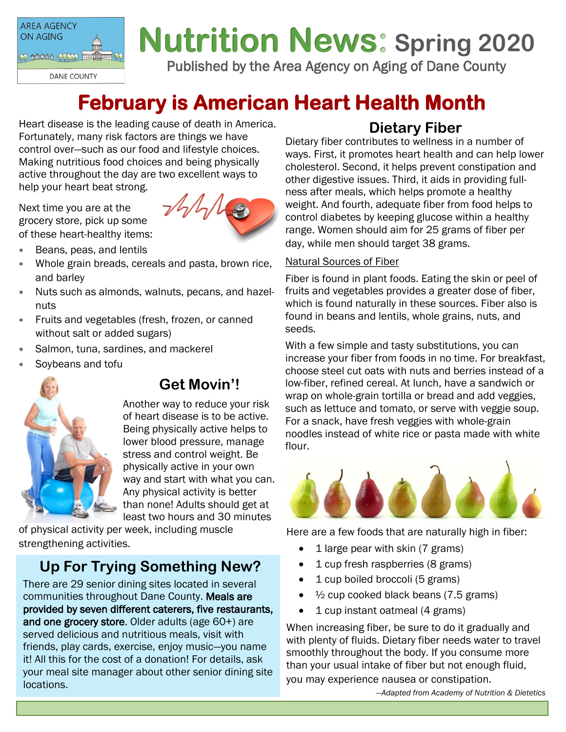

# **Nutrition News: Spring 2020**

Published by the Area Agency on Aging of Dane County

## **February is American Heart Health Month**

Heart disease is the leading cause of death in America. Fortunately, many risk factors are things we have control over—such as our food and lifestyle choices. Making nutritious food choices and being physically active throughout the day are two excellent ways to help your heart beat strong.

Next time you are at the grocery store, pick up some of these heart-healthy items:



- Beans, peas, and lentils
- Whole grain breads, cereals and pasta, brown rice, and barley
- Nuts such as almonds, walnuts, pecans, and hazelnuts
- Fruits and vegetables (fresh, frozen, or canned without salt or added sugars)
- Salmon, tuna, sardines, and mackerel
- Soybeans and tofu



### **Get Movin'!**

Another way to reduce your risk of heart disease is to be active. Being physically active helps to lower blood pressure, manage stress and control weight. Be physically active in your own way and start with what you can. Any physical activity is better than none! Adults should get at least two hours and 30 minutes

of physical activity per week, including muscle strengthening activities.

## **Up For Trying Something New?**

There are 29 senior dining sites located in several communities throughout Dane County. Meals are provided by seven different caterers, five restaurants, and one grocery store. Older adults (age 60+) are served delicious and nutritious meals, visit with friends, play cards, exercise, enjoy music—you name it! All this for the cost of a donation! For details, ask your meal site manager about other senior dining site locations.

## **Dietary Fiber**

Dietary fiber contributes to wellness in a number of ways. First, it promotes heart health and can help lower cholesterol. Second, it helps prevent constipation and other digestive issues. Third, it aids in providing fullness after meals, which helps promote a healthy weight. And fourth, adequate fiber from food helps to control diabetes by keeping glucose within a healthy range. Women should aim for 25 grams of fiber per day, while men should target 38 grams.

#### Natural Sources of Fiber

Fiber is found in plant foods. Eating the skin or peel of fruits and vegetables provides a greater dose of fiber, which is found naturally in these sources. Fiber also is found in beans and lentils, whole grains, nuts, and seeds.

With a few simple and tasty substitutions, you can increase your fiber from foods in no time. For breakfast, choose steel cut oats with nuts and berries instead of a low-fiber, refined cereal. At lunch, have a sandwich or wrap on whole-grain tortilla or bread and add veggies, such as lettuce and tomato, or serve with veggie soup. For a snack, have fresh veggies with whole-grain noodles instead of white rice or pasta made with white flour.



Here are a few foods that are naturally high in fiber:

- 1 large pear with skin (7 grams)
- 1 cup fresh raspberries (8 grams)
- 1 cup boiled broccoli (5 grams)
- $\frac{1}{2}$  cup cooked black beans (7.5 grams)
- 1 cup instant oatmeal (4 grams)

When increasing fiber, be sure to do it gradually and with plenty of fluids. Dietary fiber needs water to travel smoothly throughout the body. If you consume more than your usual intake of fiber but not enough fluid, you may experience nausea or constipation.

*—Adapted from Academy of Nutrition & Dietetics*